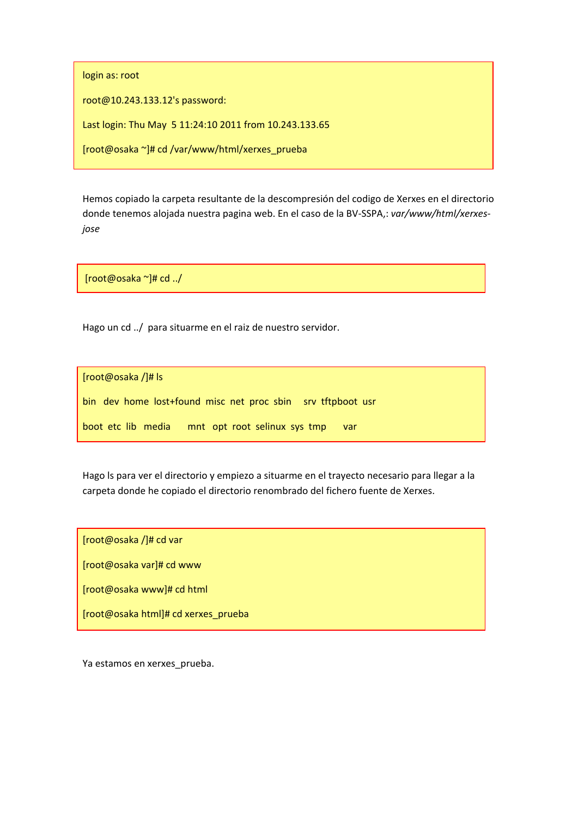login as: root

root@10.243.133.12's password:

Last login: Thu May 5 11:24:10 2011 from 10.243.133.65

[root@osaka ~]# cd /var/www/html/xerxes\_prueba

Hemos copiado la carpeta resultante de la descompresión del codigo de Xerxes en el directorio donde tenemos alojada nuestra pagina web. En el caso de la BV‐SSPA,: *var/www/html/xerxes‐ jose*

[root@osaka ~]# cd ../

Hago un cd ../ para situarme en el raiz de nuestro servidor.

[root@osaka /]# ls

bin dev home lost+found misc net proc sbin srv tftpboot usr

|  |  |  | boot etc lib media |  |  |  | mnt opt root selinux sys tmp |  |  | var |
|--|--|--|--------------------|--|--|--|------------------------------|--|--|-----|
|--|--|--|--------------------|--|--|--|------------------------------|--|--|-----|

Hago ls para ver el directorio y empiezo a situarme en el trayecto necesario para llegar a la carpeta donde he copiado el directorio renombrado del fichero fuente de Xerxes.

[root@osaka /]# cd var

[root@osaka var]# cd www

[root@osaka www]# cd html

[root@osaka html]# cd xerxes\_prueba

Ya estamos en xerxes\_prueba.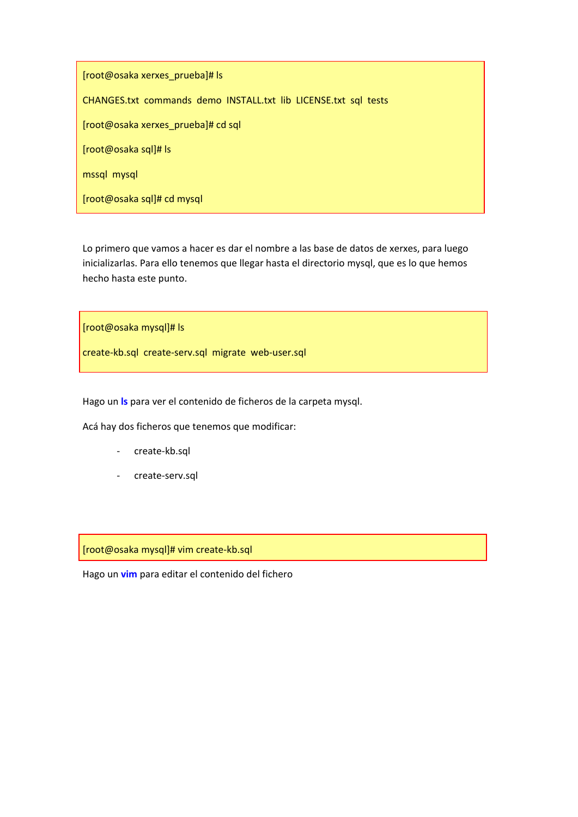[root@osaka xerxes\_prueba]# ls CHANGES.txt commands demo INSTALL.txt lib LICENSE.txt sql tests [root@osaka xerxes\_prueba]# cd sql [root@osaka sql]# ls mssql mysql [root@osaka sql]# cd mysql

Lo primero que vamos a hacer es dar el nombre a las base de datos de xerxes, para luego inicializarlas. Para ello tenemos que llegar hasta el directorio mysql, que es lo que hemos hecho hasta este punto.

[root@osaka mysql]# ls

create‐kb.sql create‐serv.sql migrate web‐user.sql

Hago un **ls** para ver el contenido de ficheros de la carpeta mysql.

Acá hay dos ficheros que tenemos que modificar:

- ‐ create‐kb.sql
- ‐ create‐serv.sql

[root@osaka mysql]# vim create‐kb.sql

Hago un **vim** para editar el contenido del fichero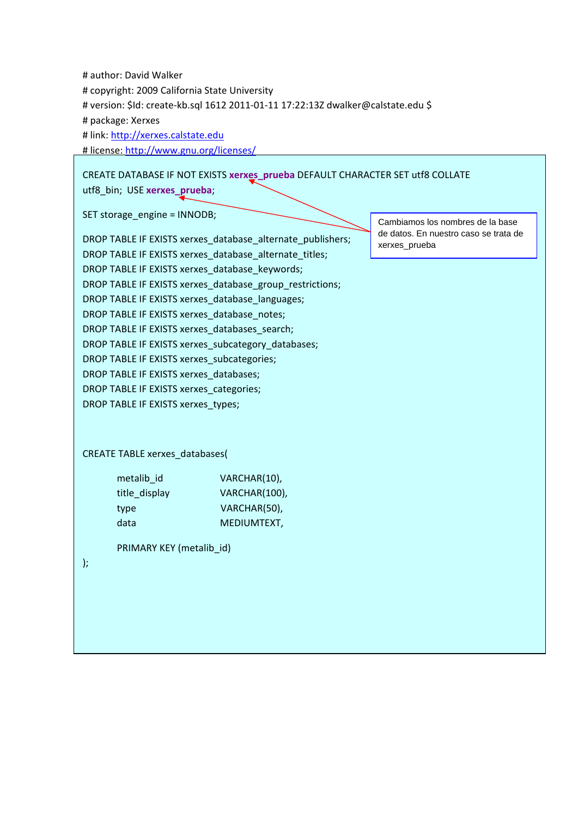| # author: David Walker<br># copyright: 2009 California State University<br># package: Xerxes<br># link: http://xerxes.calstate.edu<br># license: http://www.gnu.org/licenses/<br>utf8_bin; USE xerxes_prueba;                                                                                                                                                                                                                                                                                                                                          | # version: \$Id: create-kb.sql 1612 2011-01-11 17:22:13Z dwalker@calstate.edu \$<br>CREATE DATABASE IF NOT EXISTS xerxes_prueba DEFAULT CHARACTER SET utf8 COLLATE |                                                                                            |  |  |  |  |  |
|--------------------------------------------------------------------------------------------------------------------------------------------------------------------------------------------------------------------------------------------------------------------------------------------------------------------------------------------------------------------------------------------------------------------------------------------------------------------------------------------------------------------------------------------------------|--------------------------------------------------------------------------------------------------------------------------------------------------------------------|--------------------------------------------------------------------------------------------|--|--|--|--|--|
| SET storage_engine = INNODB;                                                                                                                                                                                                                                                                                                                                                                                                                                                                                                                           | DROP TABLE IF EXISTS xerxes_database_alternate_publishers;                                                                                                         | Cambiamos los nombres de la base<br>de datos. En nuestro caso se trata de<br>xerxes_prueba |  |  |  |  |  |
| DROP TABLE IF EXISTS xerxes database alternate titles;<br>DROP TABLE IF EXISTS xerxes_database_keywords;<br>DROP TABLE IF EXISTS xerxes_database_group_restrictions;<br>DROP TABLE IF EXISTS xerxes_database_languages;<br>DROP TABLE IF EXISTS xerxes_database_notes;<br>DROP TABLE IF EXISTS xerxes databases search;<br>DROP TABLE IF EXISTS xerxes_subcategory_databases;<br>DROP TABLE IF EXISTS xerxes_subcategories;<br>DROP TABLE IF EXISTS xerxes_databases;<br>DROP TABLE IF EXISTS xerxes_categories;<br>DROP TABLE IF EXISTS xerxes_types; |                                                                                                                                                                    |                                                                                            |  |  |  |  |  |
| <b>CREATE TABLE xerxes_databases(</b>                                                                                                                                                                                                                                                                                                                                                                                                                                                                                                                  |                                                                                                                                                                    |                                                                                            |  |  |  |  |  |
| metalib id<br>title_display<br>type<br>data<br>PRIMARY KEY (metalib_id)<br>);                                                                                                                                                                                                                                                                                                                                                                                                                                                                          | VARCHAR(10),<br>VARCHAR(100),<br>VARCHAR(50),<br>MEDIUMTEXT,                                                                                                       |                                                                                            |  |  |  |  |  |
|                                                                                                                                                                                                                                                                                                                                                                                                                                                                                                                                                        |                                                                                                                                                                    |                                                                                            |  |  |  |  |  |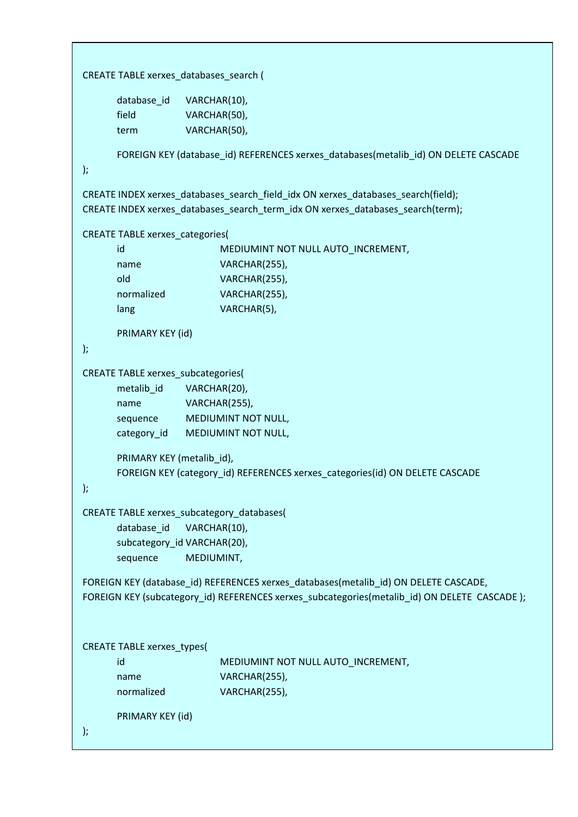```
CREATE TABLE xerxes_databases_search (
          database id VARCHAR(10),
          field VARCHAR(50),
          term VARCHAR(50),
          FOREIGN KEY (database_id) REFERENCES xerxes_databases(metalib_id) ON DELETE CASCADE             
);
CREATE INDEX xerxes_databases_search_field_idx ON xerxes_databases_search(field);  
CREATE INDEX xerxes_databases_search_term_idx ON xerxes_databases_search(term);
CREATE TABLE xerxes_categories(                                                                                                        
          id MEDIUMINT NOT NULL AUTO_INCREMENT,
          name VARCHAR(255),
          old VARCHAR(255),
          normalized VARCHAR(255),
          lang VARCHAR(5),
          PRIMARY KEY (id)                                                                                                                           
);
CREATE TABLE xerxes_subcategories(                                                                                            
          metalib id VARCHAR(20),
          name VARCHAR(255),
          sequence MEDIUMINT NOT NULL,
          category_id MEDIUMINT NOT NULL,
          PRIMARY KEY (metalib_id),                                                                                               
          FOREIGN KEY (category_id) REFERENCES xerxes_categories(id) ON DELETE CASCADE
);
CREATE TABLE xerxes_subcategory_databases(                                                                    
          database_id VARCHAR(10),
          subcategory_id VARCHAR(20),                                                                                     
          sequence   MEDIUMINT,
FOREIGN KEY (database_id) REFERENCES xerxes_databases(metalib_id) ON DELETE CASCADE,
FOREIGN KEY (subcategory_id) REFERENCES xerxes_subcategories(metalib_id) ON DELETE  CASCADE );
CREATE TABLE xerxes_types(                                                                                                                   
          id MEDIUMINT NOT NULL AUTO INCREMENT,
          name VARCHAR(255),
          normalized VARCHAR(255),
          PRIMARY KEY (id)                                                                                                                                  
);
```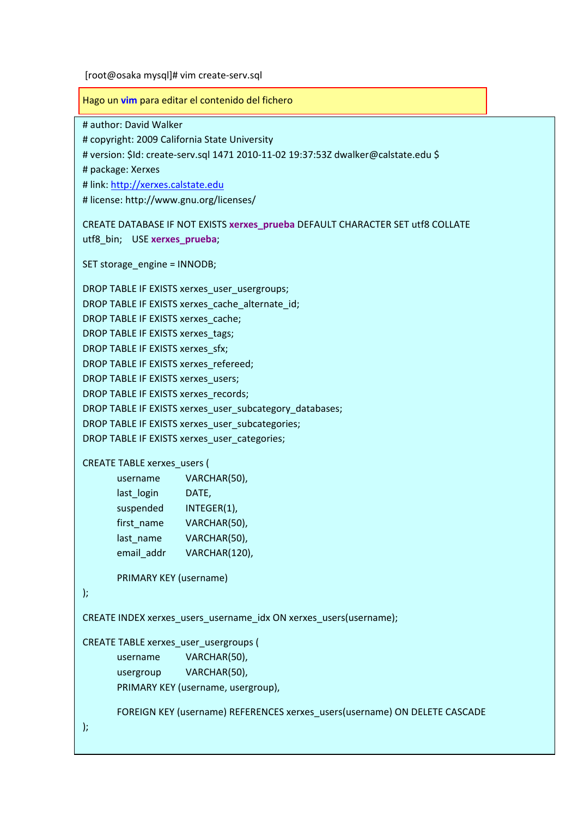[root@osaka mysql]# vim create‐serv.sql

Hago un **vim** para editar el contenido del fichero

# author: David Walker

# copyright: 2009 California State University

# version: \$Id: create‐serv.sql 1471 2010‐11‐02 19:37:53Z dwalker@calstate.edu \$

# package: Xerxes

# link: http://xerxes.calstate.edu

# license: http://www.gnu.org/licenses/

CREATE DATABASE IF NOT EXISTS **xerxes\_prueba** DEFAULT CHARACTER SET utf8 COLLATE utf8\_bin; USE **xerxes\_prueba**;

SET storage\_engine = INNODB;

DROP TABLE IF EXISTS xerxes\_user\_usergroups;

DROP TABLE IF EXISTS xerxes\_cache\_alternate\_id;

DROP TABLE IF EXISTS xerxes\_cache;

DROP TABLE IF EXISTS xerxes\_tags;

DROP TABLE IF EXISTS xerxes\_sfx;

DROP TABLE IF EXISTS xerxes\_refereed;

DROP TABLE IF EXISTS xerxes\_users;

DROP TABLE IF EXISTS xerxes\_records;

DROP TABLE IF EXISTS xerxes\_user\_subcategory\_databases;

DROP TABLE IF EXISTS xerxes\_user\_subcategories;

DROP TABLE IF EXISTS xerxes\_user\_categories;

CREATE TABLE xerxes\_users (

```
username   VARCHAR(50),                                                                                     
last login DATE,
suspended INTEGER(1),
first_name VARCHAR(50),                                                                                          
last_name VARCHAR(50),
email_addr VARCHAR(120),
```
PRIMARY KEY (username)

);

CREATE INDEX xerxes\_users\_username\_idx ON xerxes\_users(username);

CREATE TABLE xerxes\_user\_usergroups ( username VARCHAR(50), usergroup VARCHAR(50), PRIMARY KEY (username, usergroup),

FOREIGN KEY (username) REFERENCES xerxes\_users(username) ON DELETE CASCADE

);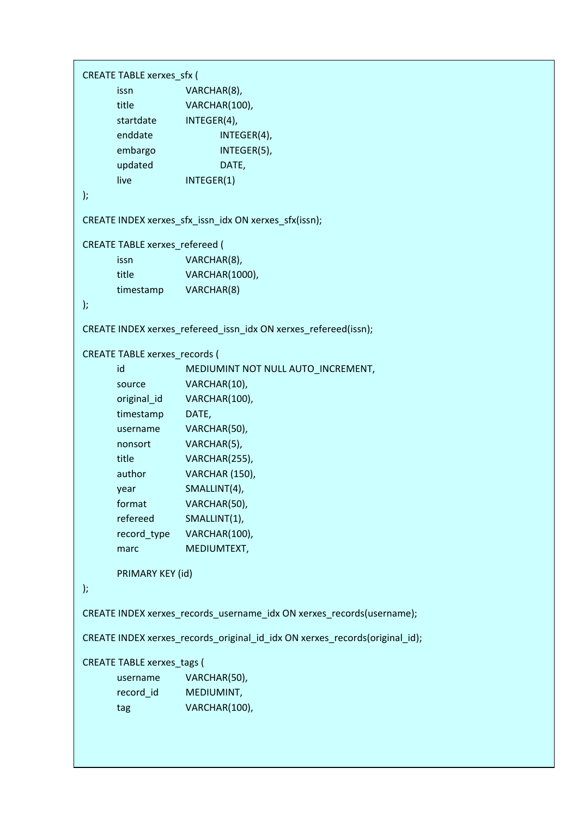```
CREATE TABLE xerxes_sfx (                                                                                                                      
               issn     VARCHAR(8),                                                                                                     
               title VARCHAR(100),
               startdate INTEGER(4),                                                                                             
               enddate INTEGER(4),
               embargo INTEGER(5),
                updated DATE, DATE DATE DATE DATE DESIGNATE
               live INTEGER(1)
);
CREATE INDEX xerxes_sfx_issn_idx ON xerxes_sfx(issn);                                                                                  
CREATE TABLE xerxes_refereed (                                                                                                            
               issn    VARCHAR(8),                                                                                                   
               title VARCHAR(1000),
               timestamp VARCHAR(8)                                                                                                                    
);
CREATE INDEX xerxes refereed issn_idx ON xerxes refereed(issn);
CREATE TABLE xerxes_records (                                                                                                                    
               id MEDIUMINT NOT NULL AUTO INCREMENT,
               source VARCHAR(10),
               original_id   VARCHAR(100),
               timestamp DATE,
               username   VARCHAR(50),                                                                                                         
               nonsort   VARCHAR(5),                                                                                                    
               title VARCHAR(255),
               author VARCHAR (150),
               year SMALLINT(4),
               format VARCHAR(50),
               refereed   SMALLINT(1),                                                                                            
               record_type VARCHAR(100),                                                                                                      
               marc MEDIUMTEXT,
                PRIMARY KEY (id)                                                                                                                                    
);
CREATE INDEX xerxes_records_username_idx ON xerxes_records(username);
CREATE INDEX xerxes_records_original_id_idx ON xerxes_records(original_id);
CREATE TABLE xerxes_tags (                                                                                                    
               username VARCHAR(50),                                                                                         
               record_id MEDIUMINT,                                                                                                        
               tag VARCHAR(100),
```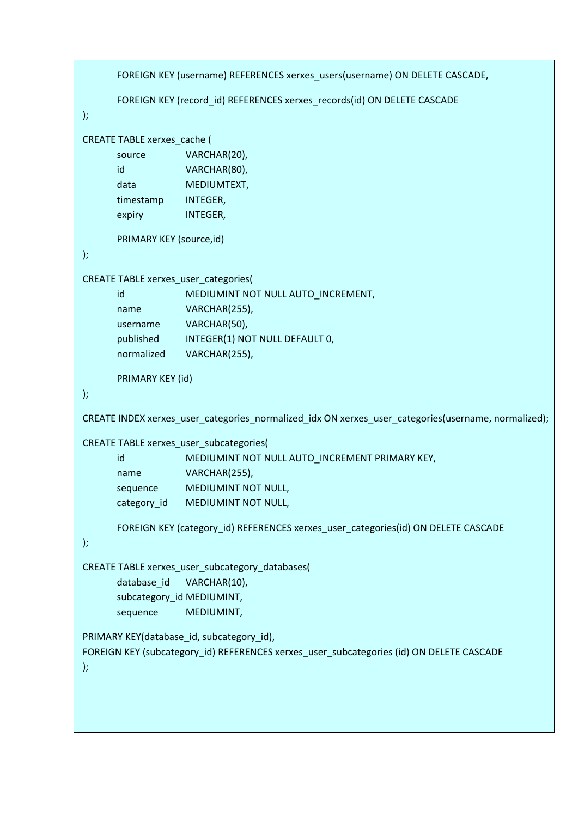```
FOREIGN KEY (username) REFERENCES xerxes_users(username) ON DELETE CASCADE,
              FOREIGN KEY (record id) REFERENCES xerxes records(id) ON DELETE CASCADE
);
CREATE TABLE xerxes_cache (                                                                                                                
             source VARCHAR(20),
             id VARCHAR(80),
             data    MEDIUMTEXT,                                                                                        
             timestamp INTEGER,                                                                                                            
              expiry INTEGER,
              PRIMARY KEY (source,id)                                                                                                                     
);
CREATE TABLE xerxes_user_categories(                                                                                                  
             id MEDIUMINT NOT NULL AUTO_INCREMENT,
             name VARCHAR(255),
             username VARCHAR(50),                                                                                        
             published INTEGER(1) NOT NULL DEFAULT 0,                                                      
             normalized VARCHAR(255),    
             PRIMARY KEY (id)                                                                                                                                   
);
CREATE INDEX xerxes_user_categories_normalized_idx ON xerxes_user_categories(username, normalized);
CREATE TABLE xerxes_user_subcategories(                                                                                          
             id MEDIUMINT NOT NULL AUTO INCREMENT PRIMARY KEY,
             name VARCHAR(255),
             sequence MEDIUMINT NOT NULL,
             category id MEDIUMINT NOT NULL,
              FOREIGN KEY (category_id) REFERENCES xerxes_user_categories(id) ON DELETE CASCADE                           
);
CREATE TABLE xerxes_user_subcategory_databases(                                                                                             
              database_id VARCHAR(10),
              subcategory_id MEDIUMINT,                                                                                                                  
             sequence   MEDIUMINT,                                                                                                                           
PRIMARY KEY(database_id, subcategory_id),
FOREIGN KEY (subcategory_id) REFERENCES xerxes_user_subcategories (id) ON DELETE CASCADE                             
);
```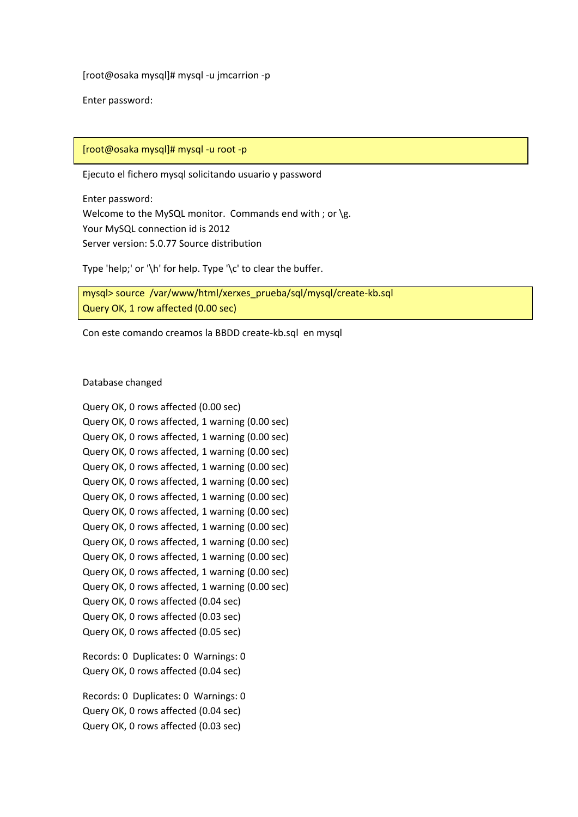[root@osaka mysql]# mysql ‐u jmcarrion ‐p

Enter password:

#### [root@osaka mysql]# mysql ‐u root ‐p

Ejecuto el fichero mysql solicitando usuario y password

Enter password: Welcome to the MySQL monitor. Commands end with ; or  $\gtrsim$ Your MySQL connection id is 2012 Server version: 5.0.77 Source distribution

Type 'help;' or '\h' for help. Type '\c' to clear the buffer.

mysql> source /var/www/html/xerxes\_prueba/sql/mysql/create‐kb.sql Query OK, 1 row affected (0.00 sec)

Con este comando creamos la BBDD create‐kb.sql en mysql

#### Database changed

Query OK, 0 rows affected (0.00 sec) Query OK, 0 rows affected, 1 warning (0.00 sec) Query OK, 0 rows affected, 1 warning (0.00 sec) Query OK, 0 rows affected, 1 warning (0.00 sec) Query OK, 0 rows affected, 1 warning (0.00 sec) Query OK, 0 rows affected, 1 warning (0.00 sec) Query OK, 0 rows affected, 1 warning (0.00 sec) Query OK, 0 rows affected, 1 warning (0.00 sec) Query OK, 0 rows affected, 1 warning (0.00 sec) Query OK, 0 rows affected, 1 warning (0.00 sec) Query OK, 0 rows affected, 1 warning (0.00 sec) Query OK, 0 rows affected, 1 warning (0.00 sec) Query OK, 0 rows affected, 1 warning (0.00 sec) Query OK, 0 rows affected (0.04 sec) Query OK, 0 rows affected (0.03 sec) Query OK, 0 rows affected (0.05 sec) Records: 0 Duplicates: 0 Warnings: 0 Query OK, 0 rows affected (0.04 sec)

Records: 0 Duplicates: 0 Warnings: 0 Query OK, 0 rows affected (0.04 sec) Query OK, 0 rows affected (0.03 sec)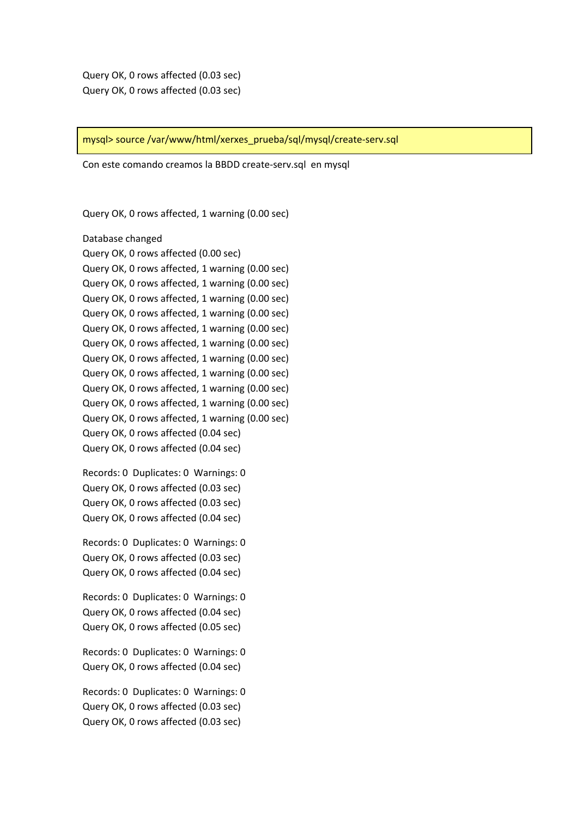mysql> source /var/www/html/xerxes\_prueba/sql/mysql/create‐serv.sql

Con este comando creamos la BBDD create‐serv.sql en mysql

Query OK, 0 rows affected, 1 warning (0.00 sec)

Database changed Query OK, 0 rows affected (0.00 sec) Query OK, 0 rows affected, 1 warning (0.00 sec) Query OK, 0 rows affected, 1 warning (0.00 sec) Query OK, 0 rows affected, 1 warning (0.00 sec) Query OK, 0 rows affected, 1 warning (0.00 sec) Query OK, 0 rows affected, 1 warning (0.00 sec) Query OK, 0 rows affected, 1 warning (0.00 sec) Query OK, 0 rows affected, 1 warning (0.00 sec) Query OK, 0 rows affected, 1 warning (0.00 sec) Query OK, 0 rows affected, 1 warning (0.00 sec) Query OK, 0 rows affected, 1 warning (0.00 sec) Query OK, 0 rows affected, 1 warning (0.00 sec) Query OK, 0 rows affected (0.04 sec) Query OK, 0 rows affected (0.04 sec)

Records: 0 Duplicates: 0 Warnings: 0 Query OK, 0 rows affected (0.03 sec) Query OK, 0 rows affected (0.03 sec) Query OK, 0 rows affected (0.04 sec)

Records: 0 Duplicates: 0 Warnings: 0 Query OK, 0 rows affected (0.03 sec) Query OK, 0 rows affected (0.04 sec)

Records: 0 Duplicates: 0 Warnings: 0 Query OK, 0 rows affected (0.04 sec) Query OK, 0 rows affected (0.05 sec)

Records: 0 Duplicates: 0 Warnings: 0 Query OK, 0 rows affected (0.04 sec)

Records: 0 Duplicates: 0 Warnings: 0 Query OK, 0 rows affected (0.03 sec) Query OK, 0 rows affected (0.03 sec)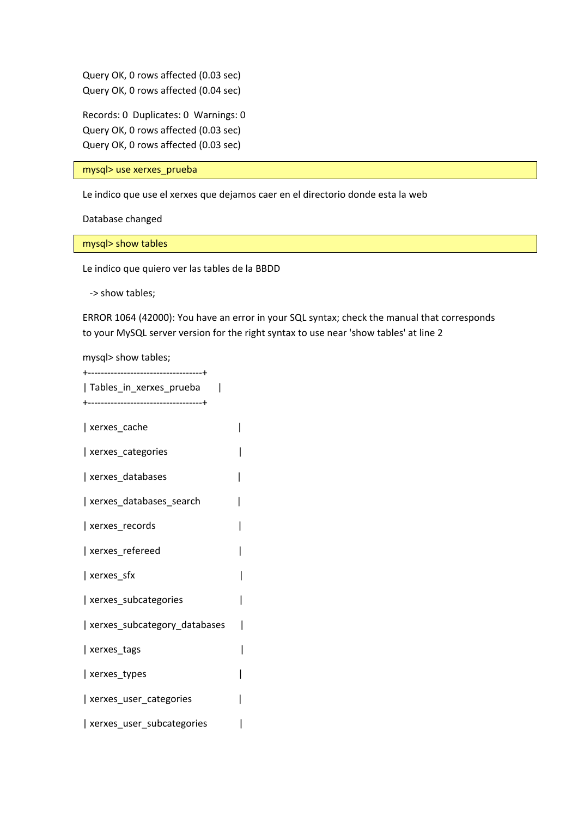Query OK, 0 rows affected (0.03 sec) Query OK, 0 rows affected (0.04 sec)

Records: 0 Duplicates: 0 Warnings: 0 Query OK, 0 rows affected (0.03 sec) Query OK, 0 rows affected (0.03 sec)

mysql> use xerxes\_prueba

Le indico que use el xerxes que dejamos caer en el directorio donde esta la web

Database changed

mysql> show tables

Le indico que quiero ver las tables de la BBDD

‐> show tables;

ERROR 1064 (42000): You have an error in your SQL syntax; check the manual that corresponds to your MySQL server version for the right syntax to use near 'show tables' at line 2

mysql> show tables;

+‐‐‐‐‐‐‐‐‐‐‐‐‐‐‐‐‐‐‐‐‐‐‐‐‐‐‐‐‐‐‐‐‐‐‐+ | Tables\_in\_xerxes\_prueba | +‐‐‐‐‐‐‐‐‐‐‐‐‐‐‐‐‐‐‐‐‐‐‐‐‐‐‐‐‐‐‐‐‐‐‐+

| xerxes\_cache | | xerxes\_categories | | xerxes\_databases | | xerxes\_databases\_search | | xerxes\_records | | xerxes\_refereed | | xerxes\_sfx | | xerxes subcategories | | xerxes\_subcategory\_databases | | xerxes\_tags |  $\vert$  xerxes types  $\vert$ | xerxes user categories | | xerxes user subcategories |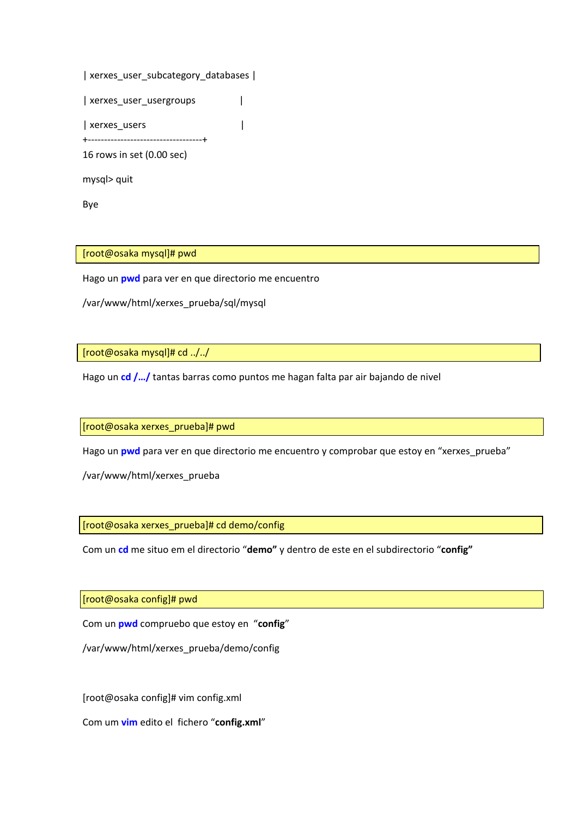| xerxes_user_subcategory_databases                      |  |
|--------------------------------------------------------|--|
| xerxes_user_usergroups                                 |  |
| xerxes_users<br>+------------------------------------- |  |
| 16 rows in set (0.00 sec)                              |  |
| mysql> quit                                            |  |

Bye

[root@osaka mysql]# pwd

Hago un **pwd** para ver en que directorio me encuentro

/var/www/html/xerxes\_prueba/sql/mysql

[root@osaka mysql]# cd ../../

Hago un **cd /…/** tantas barras como puntos me hagan falta par air bajando de nivel

[root@osaka xerxes\_prueba]# pwd

Hago un **pwd** para ver en que directorio me encuentro y comprobar que estoy en "xerxes\_prueba"

/var/www/html/xerxes\_prueba

[root@osaka xerxes\_prueba]# cd demo/config

Com un **cd** me situo em el directorio "**demo"** y dentro de este en el subdirectorio "**config"**

[root@osaka config]# pwd

Com un **pwd** compruebo que estoy en "**config**"

/var/www/html/xerxes\_prueba/demo/config

[root@osaka config]# vim config.xml

Com um **vim** edito el fichero "**config.xml**"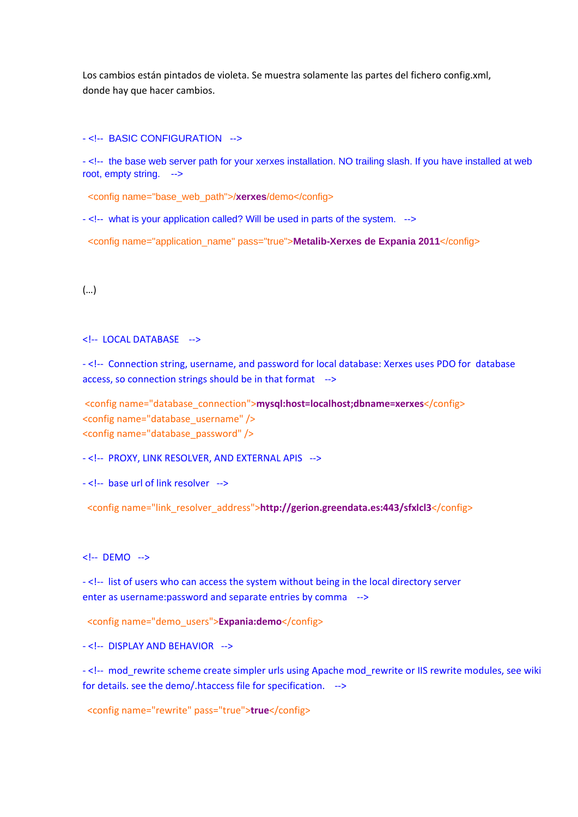Los cambios están pintados de violeta. Se muestra solamente las partes del fichero config.xml, donde hay que hacer cambios.

- <!-- BASIC CONFIGURATION -->

- <!-- the base web server path for your xerxes installation. NO trailing slash. If you have installed at web root, empty string. -->

<config name="base\_web\_path">/**xerxes**/demo</config>

- <!-- what is your application called? Will be used in parts of the system. -->

<config name="application\_name" pass="true">**Metalib-Xerxes de Expania 2011**</config>

### (…)

<!‐‐ LOCAL DATABASE ‐‐>

‐ <!‐‐ Connection string, username, and password for local database: Xerxes uses PDO for database access, so connection strings should be in that format ‐‐>

<config name="database\_connection">**mysql:host=localhost;dbname=xerxes**</config> <config name="database\_username" /> <config name="database\_password" />

‐ <!‐‐ PROXY, LINK RESOLVER, AND EXTERNAL APIS ‐‐>

‐ <!‐‐ base url of link resolver ‐‐>

<config name="link\_resolver\_address">**http://gerion.greendata.es:443/sfxlcl3**</config>

<!‐‐ DEMO ‐‐>

‐ <!‐‐ list of users who can access the system without being in the local directory server enter as username:password and separate entries by comma ‐‐>

<config name="demo\_users">**Expania:demo**</config>

‐ <!‐‐ DISPLAY AND BEHAVIOR ‐‐>

-<!-- mod\_rewrite scheme create simpler urls using Apache mod\_rewrite or IIS rewrite modules, see wiki for details. see the demo/.htaccess file for specification. ‐‐>

<config name="rewrite" pass="true">**true**</config>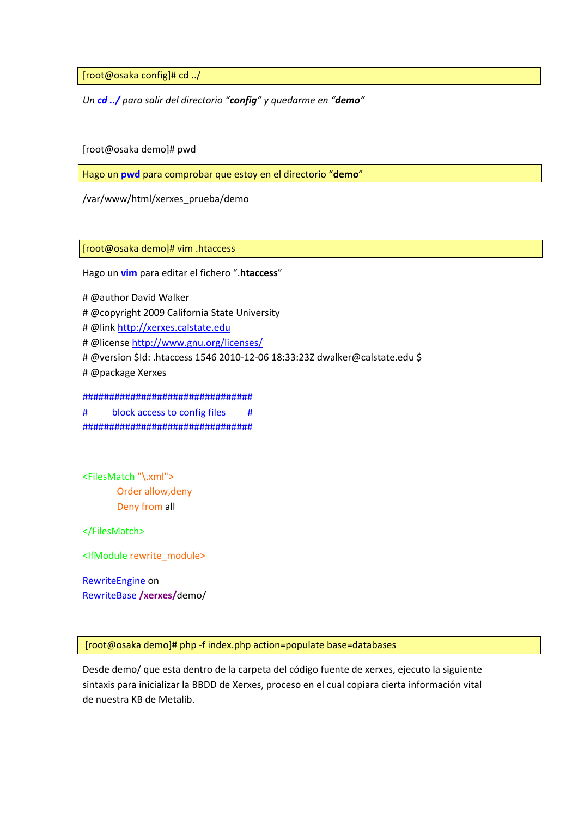[root@osaka config]# cd ../

*Un cd ../ para salir del directorio "config" y quedarme en "demo"*

[root@osaka demo]# pwd

Hago un **pwd** para comprobar que estoy en el directorio "**demo**"

/var/www/html/xerxes\_prueba/demo

[root@osaka demo]# vim .htaccess

Hago un **vim** para editar el fichero ".**htaccess**"

- # @author David Walker
- # @copyright 2009 California State University

# @link http://xerxes.calstate.edu

- # @license http://www.gnu.org/licenses/
- # @version \$Id: .htaccess 1546 2010‐12‐06 18:33:23Z dwalker@calstate.edu \$
- # @package Xerxes

################################

# block access to config files # ################################

<FilesMatch "\.xml"> Order allow,deny Deny from all

</FilesMatch>

<IfModule rewrite\_module>

RewriteEngine on RewriteBase **/xerxes/**demo/

[root@osaka demo]# php ‐f index.php action=populate base=databases

Desde demo/ que esta dentro de la carpeta del código fuente de xerxes, ejecuto la siguiente sintaxis para inicializar la BBDD de Xerxes, proceso en el cual copiara cierta información vital de nuestra KB de Metalib.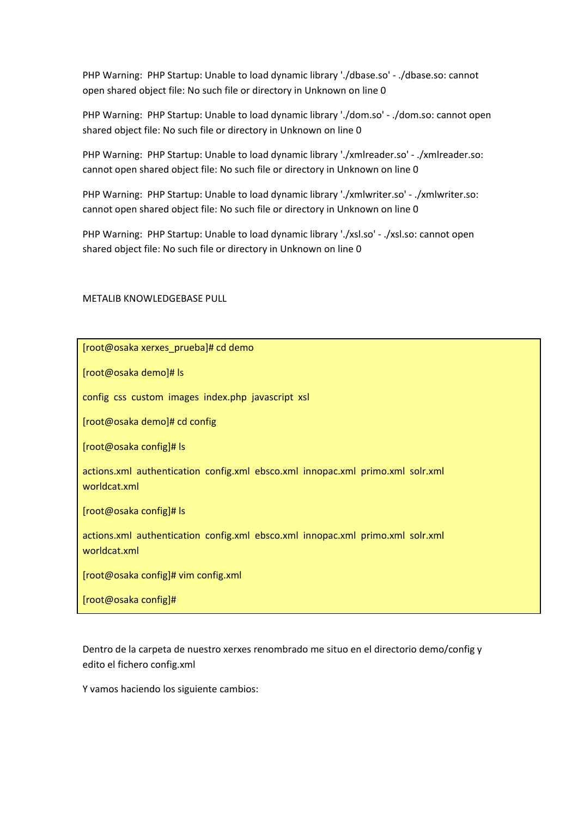PHP Warning: PHP Startup: Unable to load dynamic library './dbase.so' ‐ ./dbase.so: cannot open shared object file: No such file or directory in Unknown on line 0

PHP Warning: PHP Startup: Unable to load dynamic library './dom.so' ‐ ./dom.so: cannot open shared object file: No such file or directory in Unknown on line 0

PHP Warning: PHP Startup: Unable to load dynamic library './xmlreader.so' ‐ ./xmlreader.so: cannot open shared object file: No such file or directory in Unknown on line 0

PHP Warning: PHP Startup: Unable to load dynamic library './xmlwriter.so' ‐ ./xmlwriter.so: cannot open shared object file: No such file or directory in Unknown on line 0

PHP Warning: PHP Startup: Unable to load dynamic library './xsl.so' ‐ ./xsl.so: cannot open shared object file: No such file or directory in Unknown on line 0

METALIB KNOWLEDGEBASE PULL

[root@osaka xerxes\_prueba]# cd demo

[root@osaka demo]# ls

config css custom images index.php javascript xsl

[root@osaka demo]# cd config

[root@osaka config]# ls

actions.xml authentication config.xml ebsco.xml innopac.xml primo.xml solr.xml worldcat.xml

[root@osaka config]# ls

actions.xml authentication config.xml ebsco.xml innopac.xml primo.xml solr.xml worldcat.xml

[root@osaka config]# vim config.xml

[root@osaka config]#

Dentro de la carpeta de nuestro xerxes renombrado me situo en el directorio demo/config y edito el fichero config.xml

Y vamos haciendo los siguiente cambios: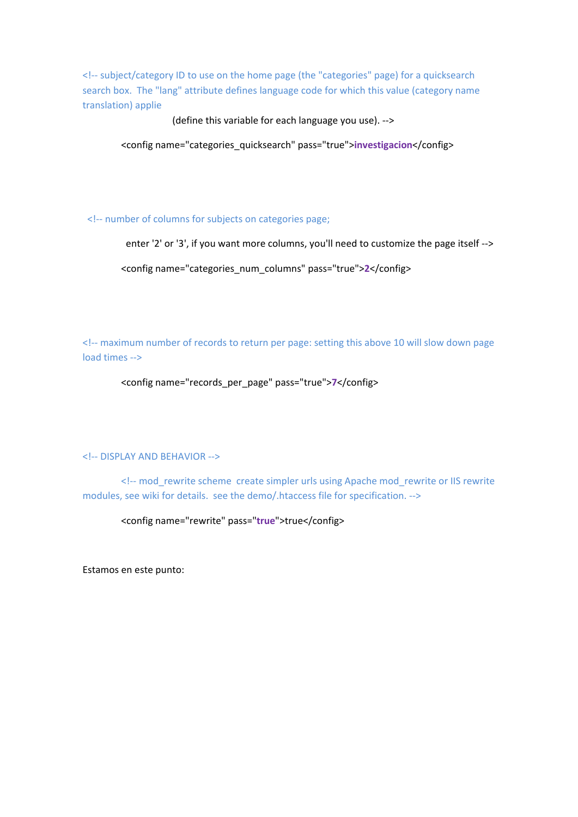<!‐‐ subject/category ID to use on the home page (the "categories" page) for a quicksearch search box. The "lang" attribute defines language code for which this value (category name translation) applie

(define this variable for each language you use). ‐‐>

<config name="categories\_quicksearch" pass="true">**investigacion**</config>

<!‐‐ number of columns for subjects on categories page;

enter '2' or '3', if you want more columns, you'll need to customize the page itself -->

<config name="categories\_num\_columns" pass="true">**2**</config>

<!‐‐ maximum number of records to return per page: setting this above 10 will slow down page load times ‐‐>

<config name="records\_per\_page" pass="true">**7**</config>

#### <!‐‐ DISPLAY AND BEHAVIOR ‐‐>

 <!‐‐ mod\_rewrite scheme create simpler urls using Apache mod\_rewrite or IIS rewrite modules, see wiki for details. see the demo/.htaccess file for specification. ‐‐>

<config name="rewrite" pass="**true**">true</config>

Estamos en este punto: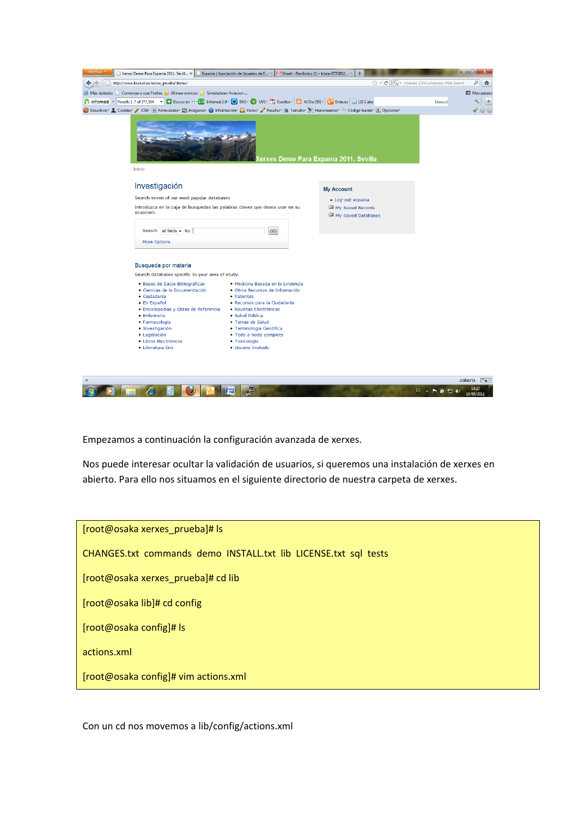| Firefox '                                                                                                                                                                                                              |                                                                                                                                                |                                          |                                        |                                         |                      |
|------------------------------------------------------------------------------------------------------------------------------------------------------------------------------------------------------------------------|------------------------------------------------------------------------------------------------------------------------------------------------|------------------------------------------|----------------------------------------|-----------------------------------------|----------------------|
| Xerxes Demo Para Expania 2011. Sevill X   Expania   Asociación de Usuarios de E X                                                                                                                                      |                                                                                                                                                | M Gmail - Recibidos (1) - tristan7772002 | ÷                                      |                                         |                      |
| http://www.bsalud.es/xerxes_prueba/demo/<br>⇔⇒                                                                                                                                                                         |                                                                                                                                                |                                          | $\uparrow$ - $C$                       | $Q$ + infomed 2.0 Customized Web Search | م<br>合               |
| A Más visitados Comenzar a usar Firefox a Últimas noticias <b>C</b> Simuladores Aviacion                                                                                                                               |                                                                                                                                                |                                          |                                        |                                         | <b>EJ</b> Marcadores |
| C informed - Results 1-7 of 377,504 - Buscaren - 20 Informed 2.0 - BUS - CO UVS - BB Eventos - N AI Dia [50] - G Enlaces N EX LIS Cuba                                                                                 |                                                                                                                                                |                                          |                                        | <b>Descub</b>                           | a.<br>$+$            |
| O Desactivar L Cookies / CSS- E Formularios C Imágenes O Información D Varios / Resaltar L Tamaño S Herramientas E Código fuente A Opciones                                                                            |                                                                                                                                                |                                          |                                        |                                         | $\circ$              |
| <b>Inicio</b>                                                                                                                                                                                                          |                                                                                                                                                |                                          | lerxes Demo Para Expania 2011. Sevilla |                                         |                      |
| Investigación                                                                                                                                                                                                          |                                                                                                                                                |                                          | <b>My Account</b>                      |                                         |                      |
| Search seven of our most popular databases                                                                                                                                                                             |                                                                                                                                                |                                          | - Log-out expania                      |                                         |                      |
| Introduzca en la caja de busquedas las palabras claves que desea usar en su                                                                                                                                            |                                                                                                                                                |                                          | My Saved Records                       |                                         |                      |
|                                                                                                                                                                                                                        | ecuacion:                                                                                                                                      |                                          |                                        |                                         |                      |
| Search all fields - for                                                                                                                                                                                                | GO                                                                                                                                             |                                          |                                        |                                         |                      |
| More Options                                                                                                                                                                                                           |                                                                                                                                                |                                          |                                        |                                         |                      |
| Busqueda por materia<br>Search databases specific to your area of study.<br>· Bases de Datos Bibliográficas<br>· Ciencias de la Documentación<br>· Ciudadanía<br>· En Español<br>· Enciclopedias y Obras de Referencia | · Medicina Basada en la Evidencia<br>· Otros Recursos de Información<br>• Patentes<br>· Recursos para la Ciudadanía<br>· Revistas Electrónicas |                                          |                                        |                                         |                      |
| · Enfermería<br>· Farmacología                                                                                                                                                                                         | $\bullet$ Salud Pública<br>· Temas de Salud                                                                                                    |                                          |                                        |                                         |                      |
| · Investigación                                                                                                                                                                                                        | · Terminologia Científica                                                                                                                      |                                          |                                        |                                         |                      |
| · Legislación                                                                                                                                                                                                          | · Todo a texto completo                                                                                                                        |                                          |                                        |                                         |                      |
| · Libros Electrónicos<br>· Literatura Gris                                                                                                                                                                             | · Toxicología<br>· Usuario Invitado                                                                                                            |                                          |                                        |                                         |                      |
|                                                                                                                                                                                                                        |                                                                                                                                                |                                          |                                        |                                         |                      |
|                                                                                                                                                                                                                        |                                                                                                                                                |                                          |                                        |                                         | zotero<br>$\sim$ .   |
|                                                                                                                                                                                                                        | 粵<br>些                                                                                                                                         |                                          |                                        | ES.<br>▲ ■ 藤 四 (0)                      | 14:27<br>10/05/2011  |

Empezamos a continuación la configuración avanzada de xerxes.

Nos puede interesar ocultar la validación de usuarios, si queremos una instalación de xerxes en abierto. Para ello nos situamos en el siguiente directorio de nuestra carpeta de xerxes.

[root@osaka xerxes\_prueba]# ls CHANGES.txt commands demo INSTALL.txt lib LICENSE.txt sql tests [root@osaka xerxes\_prueba]# cd lib [root@osaka lib]# cd config [root@osaka config]# ls actions.xml [root@osaka config]# vim actions.xml

Con un cd nos movemos a lib/config/actions.xml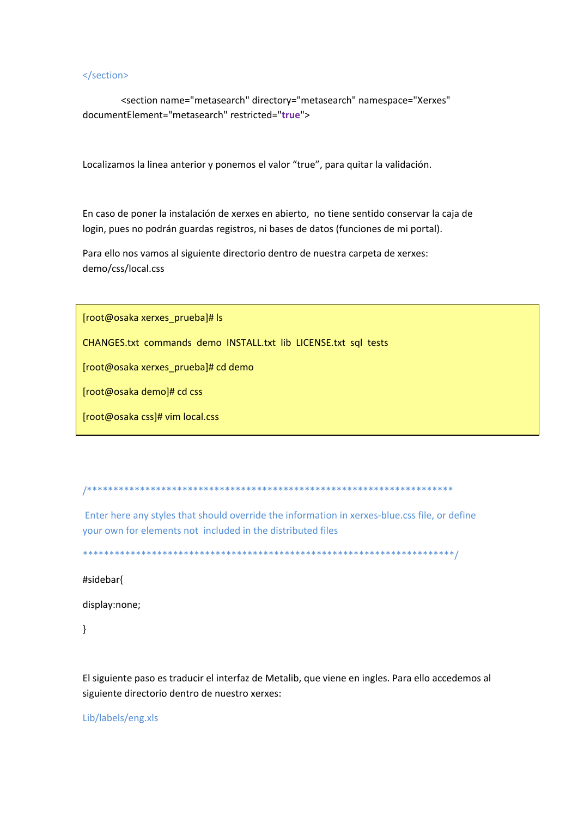#### </section>

 <section name="metasearch" directory="metasearch" namespace="Xerxes" documentElement="metasearch" restricted="**true**">

Localizamos la linea anterior y ponemos el valor "true", para quitar la validación.

En caso de poner la instalación de xerxes en abierto, no tiene sentido conservar la caja de login, pues no podrán guardas registros, ni bases de datos (funciones de mi portal).

Para ello nos vamos al siguiente directorio dentro de nuestra carpeta de xerxes: demo/css/local.css

[root@osaka xerxes\_prueba]# ls

CHANGES.txt commands demo INSTALL.txt lib LICENSE.txt sql tests

[root@osaka xerxes\_prueba]# cd demo

[root@osaka demo]# cd css

[root@osaka css]# vim local.css

/\*\*\*\*\*\*\*\*\*\*\*\*\*\*\*\*\*\*\*\*\*\*\*\*\*\*\*\*\*\*\*\*\*\*\*\*\*\*\*\*\*\*\*\*\*\*\*\*\*\*\*\*\*\*\*\*\*\*\*\*\*\*\*\*\*\*\*\*\*

Enter here any styles that should override the information in xerxes-blue.css file, or define your own for elements not included in the distributed files

\*\*\*\*\*\*\*\*\*\*\*\*\*\*\*\*\*\*\*\*\*\*\*\*\*\*\*\*\*\*\*\*\*\*\*\*\*\*\*\*\*\*\*\*\*\*\*\*\*\*\*\*\*\*\*\*\*\*\*\*\*\*\*\*\*\*\*\*\*\*/

#sidebar{

display:none;

}

El siguiente paso es traducir el interfaz de Metalib, que viene en ingles. Para ello accedemos al siguiente directorio dentro de nuestro xerxes:

Lib/labels/eng.xls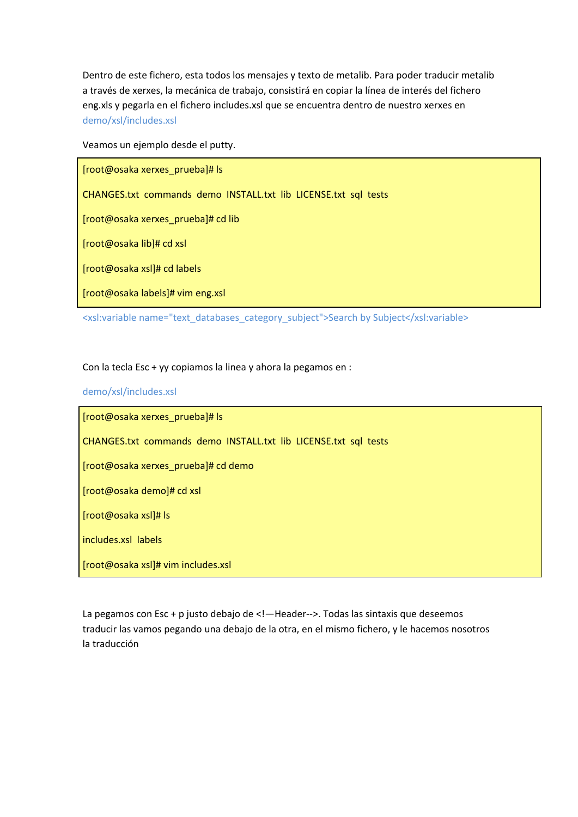Dentro de este fichero, esta todos los mensajes y texto de metalib. Para poder traducir metalib a través de xerxes, la mecánica de trabajo, consistirá en copiar la línea de interés del fichero eng.xls y pegarla en el fichero includes.xsl que se encuentra dentro de nuestro xerxes en demo/xsl/includes.xsl

Veamos un ejemplo desde el putty.

[root@osaka xerxes\_prueba]# ls

CHANGES.txt commands demo INSTALL.txt lib LICENSE.txt sql tests

[root@osaka xerxes\_prueba]# cd lib

[root@osaka lib]# cd xsl

[root@osaka xsl]# cd labels

[root@osaka labels]# vim eng.xsl

<xsl:variable name="text\_databases\_category\_subject">Search by Subject</xsl:variable>

# Con la tecla Esc + yy copiamos la linea y ahora la pegamos en :

## demo/xsl/includes.xsl

[root@osaka xerxes\_prueba]# ls CHANGES.txt commands demo INSTALL.txt lib LICENSE.txt sql tests [root@osaka xerxes\_prueba]# cd demo [root@osaka demo]# cd xsl [root@osaka xsl]# ls includes.xsl labels [root@osaka xsl]# vim includes.xsl

La pegamos con Esc + p justo debajo de <!-Header-->. Todas las sintaxis que deseemos traducir las vamos pegando una debajo de la otra, en el mismo fichero, y le hacemos nosotros la traducción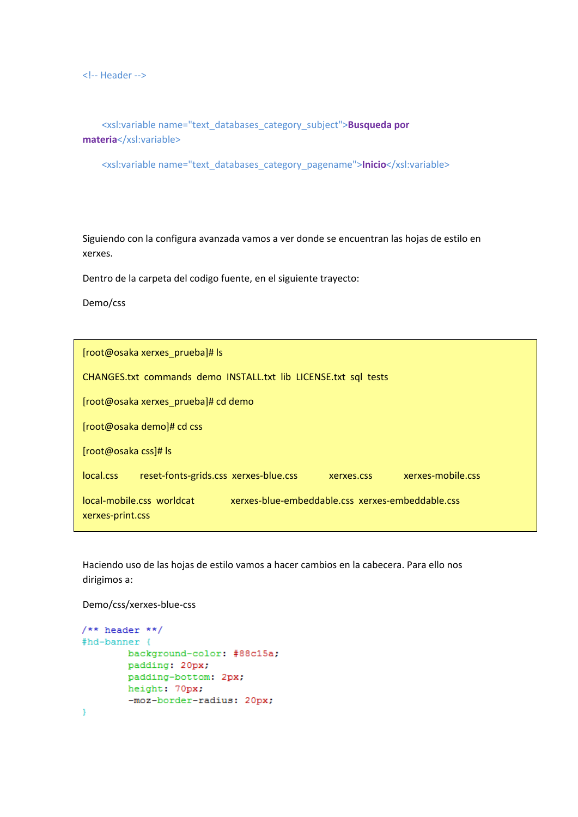<!‐‐ Header ‐‐>

 <xsl:variable name="text\_databases\_category\_subject">**Busqueda por** materia</xsl:variable>

<xsl:variable name="text\_databases\_category\_pagename">**Inicio**</xsl:variable>

Siguiendo con la configura avanzada vamos a ver donde se encuentran las hojas de estilo en xerxes.

Dentro de la carpeta del codigo fuente, en el siguiente trayecto:

Demo/css

| [root@osaka xerxes prueba]# ls                                                                    |
|---------------------------------------------------------------------------------------------------|
| CHANGES.txt commands demo INSTALL.txt lib LICENSE.txt sql tests                                   |
| [root@osaka xerxes prueba]# cd demo                                                               |
| [root@osaka demo]# cd css                                                                         |
| [root@osaka css]# ls                                                                              |
| local.css<br>xerxes-mobile.css<br>reset-fonts-grids.css xerxes-blue.css<br>xerxes.css             |
| xerxes-blue-embeddable.css xerxes-embeddable.css<br>local-mobile.css worldcat<br>xerxes-print.css |

Haciendo uso de las hojas de estilo vamos a hacer cambios en la cabecera. Para ello nos dirigimos a:

Demo/css/xerxes‐blue‐css

```
/** header **/
#hd-banner {
        background-color: #88c15a;
        padding: 20px;
        padding-bottom: 2px;
        height: 70px;
         -moz-border-radius: 20px;
\overline{\phantom{a}}
```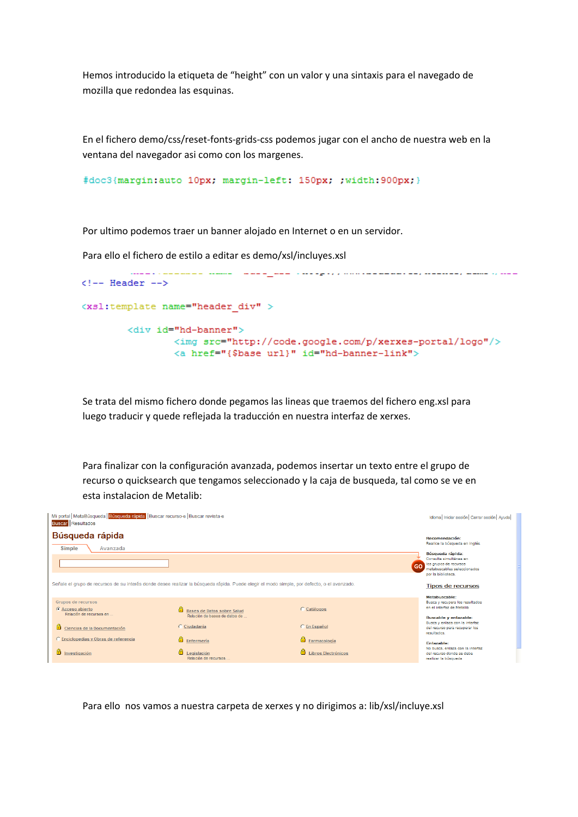Hemos introducido la etiqueta de "height" con un valor y una sintaxis para el navegado de mozilla que redondea las esquinas.

En el fichero demo/css/reset‐fonts‐grids‐css podemos jugar con el ancho de nuestra web en la ventana del navegador asi como con los margenes.

```
#doc3{margin:auto 10px; margin-left: 150px; ;width:900px;}
```
Por ultimo podemos traer un banner alojado en Internet o en un servidor.

Para ello el fichero de estilo a editar es demo/xsl/incluyes.xsl

```
للمسارة فستنفس ومستمعته ومتار مستمسمات والمتعاون والمتواد والمتعارض متعارضا المستنب المتقسمات والمتعادلات
\leftarrow -- Header -->
<xsl:template name="header_div" >
          <div id="hd-banner">
                     \mbox{\tt \label{thm:1}comp} \mbox{\tt src}="http://code.google.com/p/xexes-portal/logo"/><a href="{$base url}" id="hd-banner-link">
```
Se trata del mismo fichero donde pegamos las lineas que traemos del fichero eng.xsl para luego traducir y quede reflejada la traducción en nuestra interfaz de xerxes.

Para finalizar con la configuración avanzada, podemos insertar un texto entre el grupo de recurso o quicksearch que tengamos seleccionado y la caja de busqueda, tal como se ve en esta instalacion de Metalib:



Para ello nos vamos a nuestra carpeta de xerxes y no dirigimos a: lib/xsl/incluye.xsl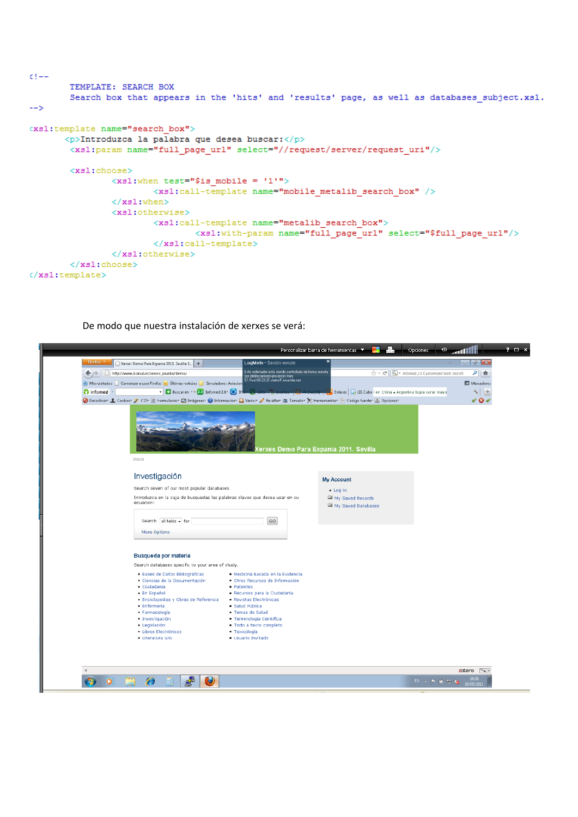```
C = -TEMPLATE: SEARCH BOX
        Search box that appears in the 'hits' and 'results' page, as well as databases subject.xsl.
--(xsl:template name="search box">
       \langle p \rangleIntroduzca la palabra que desea buscar:\langle p \rangle<xsl:param name="full_page_url" select="//request/server/request_uri"/>
        <xs1:choose>
               \langle xsl{:}when test="§ is\_mobile = '1"" \rangle<xs1:call-template name="mobile_metalib_search_box" />
                \langle/xsl:when>
                 <xs1:otherwise>
                          \langle xsl:call-template name="metalib search box">
                                  <xsl:with-param name="full page url" select="$full page url"/>
                         \langle xs1:call-template>
                 </xsl:otherwise>
        </xsl:choose>
</xsl:template>
```
De modo que nuestra instalación de xerxes se verá:

| Xentes Demo Para Expania 2011. Sevilla: L. +<br>$\leftarrow$ ) $\rightarrow$<br>http://www.bsalud.es/xerxes_prueba/demo/                                                                                                                                                                                                                                                                                           | Este ordenador está siendo controlado de forma remota                                                                            | $\left \frac{1}{\sqrt{2}}\right  = \left \frac{1}{\sqrt{2}}\right  =$ informed 2.0 Customized Web Search | م<br>合               |
|--------------------------------------------------------------------------------------------------------------------------------------------------------------------------------------------------------------------------------------------------------------------------------------------------------------------------------------------------------------------------------------------------------------------|----------------------------------------------------------------------------------------------------------------------------------|----------------------------------------------------------------------------------------------------------|----------------------|
|                                                                                                                                                                                                                                                                                                                                                                                                                    | por delimcarriorp\imcarrion from<br>57.Red-88-23-21.staticIP.rima-tde.net.                                                       |                                                                                                          |                      |
| A Más visitados   Comenzar a usar Firefox   Últimas noticias   Simuladores Aviacion                                                                                                                                                                                                                                                                                                                                |                                                                                                                                  | <b>D</b> Enlaces <b>Q</b> LIS Cuba I en China + Argentina logra curar mayo                               | Marcadores<br>$\sim$ |
| Buscar en << 2.0 Informed 2.0 > 8<br><b>e</b> infomed<br>O Desactivar 1 Cookies / CSS* E Formularios* I Imágenes* U Información* I Varios* / Resaltar 1 Tamaño* X Herramientas* i Código fuente* 1 Opciones*                                                                                                                                                                                                       |                                                                                                                                  |                                                                                                          | $+$<br>- ⊙           |
| Inicio                                                                                                                                                                                                                                                                                                                                                                                                             | lerxes Demo Para Expania 2011. Sevilla                                                                                           |                                                                                                          |                      |
| Investigación                                                                                                                                                                                                                                                                                                                                                                                                      | <b>My Account</b>                                                                                                                |                                                                                                          |                      |
| Search seven of our most popular databases<br>Introduzca en la caja de busquedas las palabras claves que desea usar en su<br>ecuacion:                                                                                                                                                                                                                                                                             | $Loa-in$<br>My Saved Records<br>My Saved Databases                                                                               |                                                                                                          |                      |
| Search all fields - for                                                                                                                                                                                                                                                                                                                                                                                            | GO.                                                                                                                              |                                                                                                          |                      |
| More Options<br>Busqueda por materia                                                                                                                                                                                                                                                                                                                                                                               |                                                                                                                                  |                                                                                                          |                      |
| Search databases specific to your area of study.                                                                                                                                                                                                                                                                                                                                                                   |                                                                                                                                  |                                                                                                          |                      |
| · Bases de Datos Bibliográficas<br>· Ciencias de la Documentación<br>· Ciudadanía<br>· Patentes<br>· En Español<br>· Enciclopedias y Obras de Referencia<br>· Revistas Electrónicas<br>· Enfermería<br>· Salud Pública<br>· Farmacología<br>· Temas de Salud<br>· Terminologia Científica<br>· Investigación<br>· Legislación<br>· Libros Electrónicos<br>· Toxicología<br>· Literatura Gris<br>· Usuario Invitado | · Medicina Basada en la Evidencia<br>· Otros Recursos de Información<br>· Recursos para la Ciudadanía<br>· Todo a texto completo |                                                                                                          |                      |
| A                                                                                                                                                                                                                                                                                                                                                                                                                  |                                                                                                                                  | $ES =  P \times  V  =  Q $ 1858                                                                          | zotero $\sim$        |